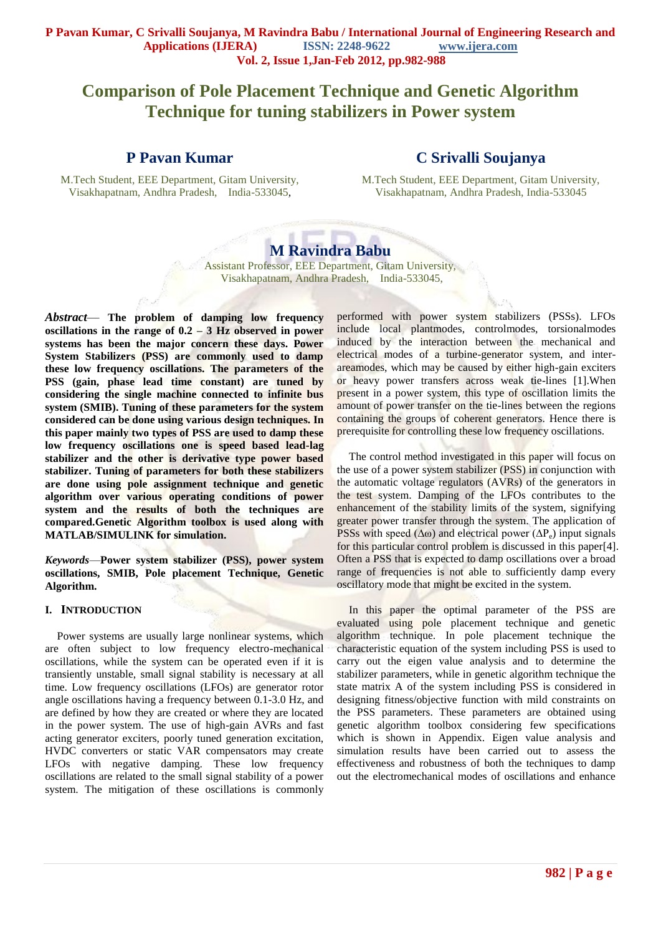# **Comparison of Pole Placement Technique and Genetic Algorithm Technique for tuning stabilizers in Power system**

## **P Pavan Kumar**

M.Tech Student, EEE Department, Gitam University, Visakhapatnam, Andhra Pradesh, India-533045*,*

## **C Srivalli Soujanya**

M.Tech Student, EEE Department, Gitam University, Visakhapatnam, Andhra Pradesh, India-533045

# **M Ravindra Babu**

Assistant Professor, EEE Department, Gitam University, Visakhapatnam, Andhra Pradesh, India-533045,

*Abstract*— **The problem of damping low frequency oscillations in the range of 0.2 – 3 Hz observed in power systems has been the major concern these days. Power System Stabilizers (PSS) are commonly used to damp these low frequency oscillations. The parameters of the PSS (gain, phase lead time constant) are tuned by considering the single machine connected to infinite bus system (SMIB). Tuning of these parameters for the system considered can be done using various design techniques. In this paper mainly two types of PSS are used to damp these low frequency oscillations one is speed based lead-lag stabilizer and the other is derivative type power based stabilizer. Tuning of parameters for both these stabilizers are done using pole assignment technique and genetic algorithm over various operating conditions of power system and the results of both the techniques are compared.Genetic Algorithm toolbox is used along with MATLAB/SIMULINK for simulation.**

*Keywords*—**Power system stabilizer (PSS), power system oscillations, SMIB, Pole placement Technique, Genetic Algorithm.**

#### **I. INTRODUCTION**

Power systems are usually large nonlinear systems, which are often subject to low frequency electro-mechanical oscillations, while the system can be operated even if it is transiently unstable, small signal stability is necessary at all time. Low frequency oscillations (LFOs) are generator rotor angle oscillations having a frequency between 0.1-3.0 Hz, and are defined by how they are created or where they are located in the power system. The use of high-gain AVRs and fast acting generator exciters, poorly tuned generation excitation, HVDC converters or static VAR compensators may create LFOs with negative damping. These low frequency oscillations are related to the small signal stability of a power system. The mitigation of these oscillations is commonly

performed with power system stabilizers (PSSs). LFOs include local plantmodes, controlmodes, torsionalmodes induced by the interaction between the mechanical and electrical modes of a turbine-generator system, and interareamodes, which may be caused by either high-gain exciters or heavy power transfers across weak tie-lines [1].When present in a power system, this type of oscillation limits the amount of power transfer on the tie-lines between the regions containing the groups of coherent generators. Hence there is prerequisite for controlling these low frequency oscillations.

The control method investigated in this paper will focus on the use of a power system stabilizer (PSS) in conjunction with the automatic voltage regulators (AVRs) of the generators in the test system. Damping of the LFOs contributes to the enhancement of the stability limits of the system, signifying greater power transfer through the system. The application of PSSs with speed ( $\Delta \omega$ ) and electrical power ( $\Delta P_e$ ) input signals for this particular control problem is discussed in this paper[4]. Often a PSS that is expected to damp oscillations over a broad range of frequencies is not able to sufficiently damp every oscillatory mode that might be excited in the system.

In this paper the optimal parameter of the PSS are evaluated using pole placement technique and genetic algorithm technique. In pole placement technique the characteristic equation of the system including PSS is used to carry out the eigen value analysis and to determine the stabilizer parameters, while in genetic algorithm technique the state matrix A of the system including PSS is considered in designing fitness/objective function with mild constraints on the PSS parameters. These parameters are obtained using genetic algorithm toolbox considering few specifications which is shown in Appendix. Eigen value analysis and simulation results have been carried out to assess the effectiveness and robustness of both the techniques to damp out the electromechanical modes of oscillations and enhance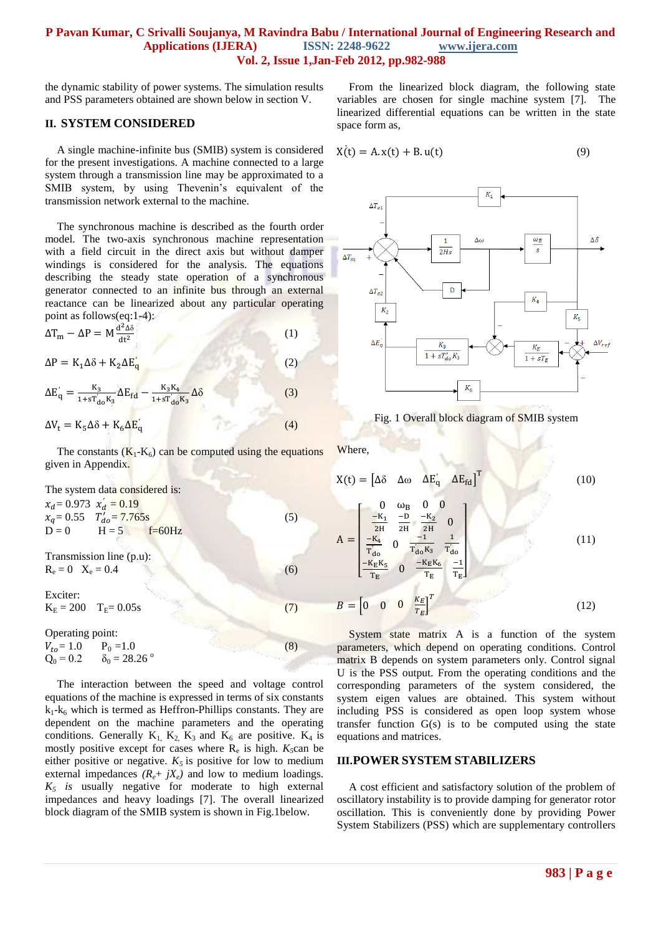the dynamic stability of power systems. The simulation results and PSS parameters obtained are shown below in section V.

### **II. SYSTEM CONSIDERED**

A single machine-infinite bus (SMIB) system is considered for the present investigations. A machine connected to a large system through a transmission line may be approximated to a SMIB system, by using Thevenin's equivalent of the transmission network external to the machine.

The synchronous machine is described as the fourth order model. The two-axis synchronous machine representation with a field circuit in the direct axis but without damper windings is considered for the analysis. The equations describing the steady state operation of a synchronous generator connected to an infinite bus through an external reactance can be linearized about any particular operating point as follows(eq:1-4):

$$
\Delta T_{\rm m} - \Delta P = M \frac{d^2 \Delta \delta}{dt^2}
$$
 (1)

 $\Delta P = K_1 \Delta \delta + K_2 \Delta E_0$ 

$$
\Delta E'_{q} = \frac{K_{3}}{1 + sT'_{d0}K_{3}} \Delta E_{fd} - \frac{K_{3}K_{4}}{1 + sT'_{d0}K_{3}} \Delta \delta
$$
 (3)

$$
\Delta V_{t} = K_{5} \Delta \delta + K_{6} \Delta E_{0}' \tag{4}
$$

The constants  $(K_1-K_6)$  can be computed using the equations given in Appendix.

The system data considered is:  $x_d = 0.973$   $x'_d = 0.19$  $x_a = 0.55$   $T'_{da} = 7.765s$  (5)  $D = 0$   $H = 5$   $f=60 Hz$ 

Transmission line (p.u):  $R_e = 0 \quad X_e = 0.4$  (6)

Exciter:

```
K_E = 200 \t T_E = 0.05s (7)
```
Operating point:  $V_{to} = 1.0$  P<sub>0</sub> = 1.0 (8)<br>
Q<sub>0</sub> = 0.2  $\delta_0 = 28.26$ °  $\delta_0 = 28.26$  °

The interaction between the speed and voltage control equations of the machine is expressed in terms of six constants  $k_1-k_6$  which is termed as Heffron-Phillips constants. They are dependent on the machine parameters and the operating conditions. Generally  $K_1$ ,  $K_2$ ,  $K_3$  and  $K_6$  are positive.  $K_4$  is mostly positive except for cases where  $R_e$  is high.  $K_5$ can be either positive or negative.  $K_5$  is positive for low to medium external impedances  $(R_e + jX_e)$  and low to medium loadings.  $K_5$  *is* usually negative for moderate to high external impedances and heavy loadings [7]. The overall linearized block diagram of the SMIB system is shown in Fig.1below.

From the linearized block diagram, the following state variables are chosen for single machine system [7]. The linearized differential equations can be written in the state space form as,

$$
X(t) = A x(t) + B u(t)
$$
\n(9)



Fig. 1 Overall block diagram of SMIB system

Where,

(2)

$$
X(t) = \begin{bmatrix} \Delta \delta & \Delta \omega & \Delta E_q' & \Delta E_{fd} \end{bmatrix}^T
$$
 (10)

$$
A = \begin{bmatrix} 0 & \omega_B & 0 & 0 \\ \frac{-K_1}{2H} & \frac{-D}{2H} & \frac{-K_2}{2H} & 0 \\ \frac{-K_4}{T_{d0}} & 0 & \frac{-1}{T_{d0}K_3} & \frac{1}{T_{d0}} \\ \frac{-K_E K_S}{T_E} & 0 & \frac{-K_E K_6}{T_E} & \frac{-1}{T_E} \end{bmatrix}
$$
(11)

$$
B = \begin{bmatrix} 0 & 0 & 0 & \frac{K_E}{T_E} \end{bmatrix}^T
$$
 (12)

System state matrix A is a function of the system parameters, which depend on operating conditions. Control matrix B depends on system parameters only. Control signal U is the PSS output. From the operating conditions and the corresponding parameters of the system considered, the system eigen values are obtained. This system without including PSS is considered as open loop system whose transfer function G(s) is to be computed using the state equations and matrices.

#### **III.POWER SYSTEM STABILIZERS**

A cost efficient and satisfactory solution of the problem of oscillatory instability is to provide damping for generator rotor oscillation. This is conveniently done by providing Power System Stabilizers (PSS) which are supplementary controllers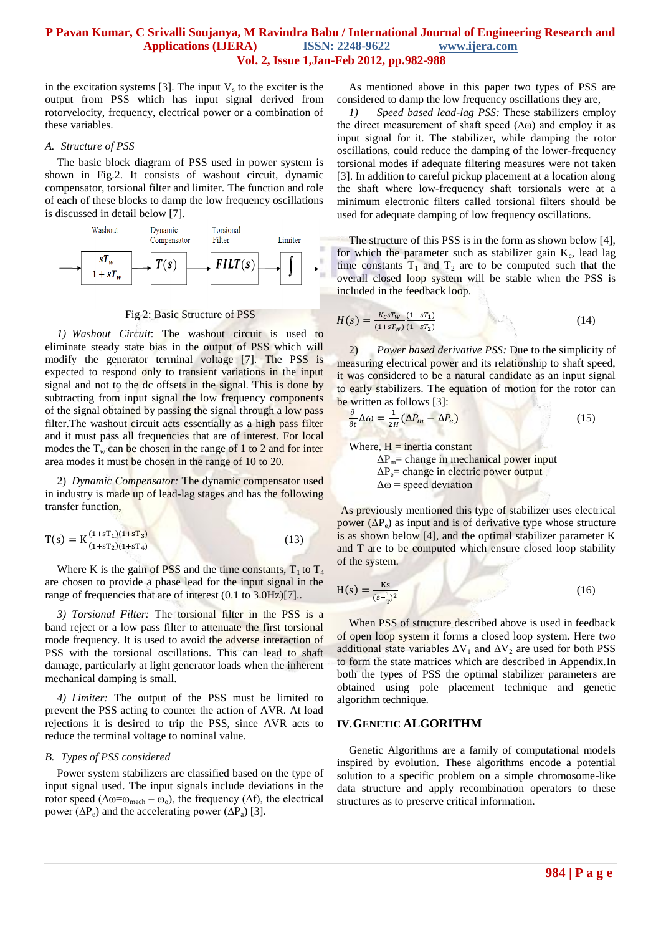in the excitation systems [3]. The input  $V_s$  to the exciter is the output from PSS which has input signal derived from rotorvelocity, frequency, electrical power or a combination of these variables.

#### *A. Structure of PSS*

The basic block diagram of PSS used in power system is shown in Fig.2. It consists of washout circuit, dynamic compensator, torsional filter and limiter. The function and role of each of these blocks to damp the low frequency oscillations is discussed in detail below [7].



Fig 2: Basic Structure of PSS

*1) Washout Circuit*: The washout circuit is used to eliminate steady state bias in the output of PSS which will modify the generator terminal voltage [7]. The PSS is expected to respond only to transient variations in the input signal and not to the dc offsets in the signal. This is done by subtracting from input signal the low frequency components of the signal obtained by passing the signal through a low pass filter.The washout circuit acts essentially as a high pass filter and it must pass all frequencies that are of interest. For local modes the  $T_w$  can be chosen in the range of 1 to 2 and for inter area modes it must be chosen in the range of 10 to 20.

2) *Dynamic Compensator:* The dynamic compensator used in industry is made up of lead-lag stages and has the following transfer function,

$$
T(s) = K \frac{(1+sT_1)(1+sT_3)}{(1+sT_2)(1+sT_4)}
$$
(13)

Where K is the gain of PSS and the time constants,  $T_1$  to  $T_4$ are chosen to provide a phase lead for the input signal in the range of frequencies that are of interest  $(0.1 \text{ to } 3.0 \text{Hz})$ [7]...

*3) Torsional Filter:* The torsional filter in the PSS is a band reject or a low pass filter to attenuate the first torsional mode frequency. It is used to avoid the adverse interaction of PSS with the torsional oscillations. This can lead to shaft damage, particularly at light generator loads when the inherent mechanical damping is small.

*4) Limiter:* The output of the PSS must be limited to prevent the PSS acting to counter the action of AVR. At load rejections it is desired to trip the PSS, since AVR acts to reduce the terminal voltage to nominal value.

#### *B. Types of PSS considered*

Power system stabilizers are classified based on the type of input signal used. The input signals include deviations in the rotor speed ( $\Delta \omega = \omega_{\text{mech}} - \omega_o$ ), the frequency ( $\Delta f$ ), the electrical power ( $\Delta P_e$ ) and the accelerating power ( $\Delta P_a$ ) [3].

As mentioned above in this paper two types of PSS are considered to damp the low frequency oscillations they are,

*1) Speed based lead-lag PSS:* These stabilizers employ the direct measurement of shaft speed  $(\Delta \omega)$  and employ it as input signal for it. The stabilizer, while damping the rotor oscillations, could reduce the damping of the lower-frequency torsional modes if adequate filtering measures were not taken [3]. In addition to careful pickup placement at a location along the shaft where low-frequency shaft torsionals were at a minimum electronic filters called torsional filters should be used for adequate damping of low frequency oscillations*.*

The structure of this PSS is in the form as shown below [4], for which the parameter such as stabilizer gain  $K_c$ , lead lag time constants  $T_1$  and  $T_2$  are to be computed such that the overall closed loop system will be stable when the PSS is included in the feedback loop.

$$
H(s) = \frac{K_c s T_w}{(1 + s T_w)} \frac{(1 + s T_1)}{(1 + s T_2)}
$$
(14)

2) *Power based derivative PSS:* Due to the simplicity of measuring electrical power and its relationship to shaft speed, it was considered to be a natural candidate as an input signal to early stabilizers. The equation of motion for the rotor can be written as follows [3]:

$$
\frac{\partial}{\partial t} \Delta \omega = \frac{1}{2H} (\Delta P_m - \Delta P_e)
$$
 (15)

Where,  $H =$  inertia constant

 $\Delta P_m$ = change in mechanical power input  $\Delta P_e$ = change in electric power output  $\Delta \omega$  = speed deviation

As previously mentioned this type of stabilizer uses electrical power  $(\Delta P_e)$  as input and is of derivative type whose structure is as shown below [4], and the optimal stabilizer parameter K and T are to be computed which ensure closed loop stability of the system.

$$
H(s) = \frac{Ks}{(s + \frac{1}{T})^2}
$$
 (16)

When PSS of structure described above is used in feedback of open loop system it forms a closed loop system. Here two additional state variables  $\Delta V_1$  and  $\Delta V_2$  are used for both PSS to form the state matrices which are described in Appendix.In both the types of PSS the optimal stabilizer parameters are obtained using pole placement technique and genetic algorithm technique.

#### **IV.GENETIC ALGORITHM**

Genetic Algorithms are a family of computational models inspired by evolution. These algorithms encode a potential solution to a specific problem on a simple chromosome-like data structure and apply recombination operators to these structures as to preserve critical information.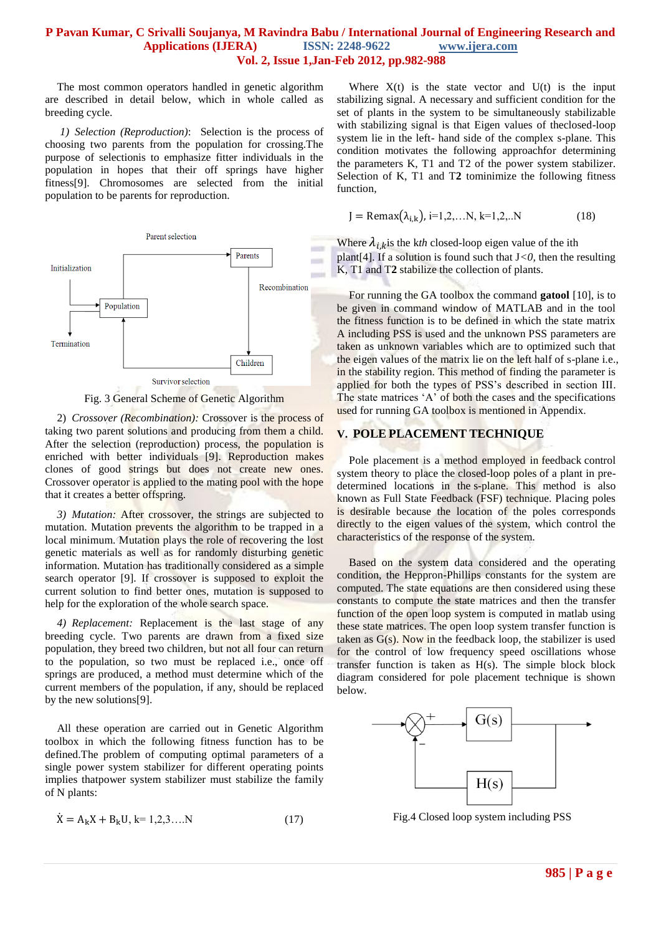The most common operators handled in genetic algorithm are described in detail below, which in whole called as breeding cycle.

*1) Selection (Reproduction)*: Selection is the process of choosing two parents from the population for crossing.The purpose of selectionis to emphasize fitter individuals in the population in hopes that their off springs have higher fitness[9]. Chromosomes are selected from the initial population to be parents for reproduction.



Fig. 3 General Scheme of Genetic Algorithm

2) *Crossover (Recombination):* Crossover is the process of taking two parent solutions and producing from them a child. After the selection (reproduction) process, the population is enriched with better individuals [9]. Reproduction makes clones of good strings but does not create new ones. Crossover operator is applied to the mating pool with the hope that it creates a better offspring.

*3) Mutation:* After crossover, the strings are subjected to mutation. Mutation prevents the algorithm to be trapped in a local minimum. Mutation plays the role of recovering the lost genetic materials as well as for randomly disturbing genetic information. Mutation has traditionally considered as a simple search operator [9]. If crossover is supposed to exploit the current solution to find better ones, mutation is supposed to help for the exploration of the whole search space.

*4) Replacement:* Replacement is the last stage of any breeding cycle. Two parents are drawn from a fixed size population, they breed two children, but not all four can return to the population, so two must be replaced i.e., once off springs are produced, a method must determine which of the current members of the population, if any, should be replaced by the new solutions[9].

All these operation are carried out in Genetic Algorithm toolbox in which the following fitness function has to be defined.The problem of computing optimal parameters of a single power system stabilizer for different operating points implies thatpower system stabilizer must stabilize the family of N plants:

$$
\dot{X} = A_k X + B_k U, k = 1, 2, 3, \dots N \tag{17}
$$

Where  $X(t)$  is the state vector and  $U(t)$  is the input stabilizing signal. A necessary and sufficient condition for the set of plants in the system to be simultaneously stabilizable with stabilizing signal is that Eigen values of theclosed-loop system lie in the left- hand side of the complex s-plane. This condition motivates the following approachfor determining the parameters K, T1 and T2 of the power system stabilizer. Selection of K, T1 and T**2** tominimize the following fitness function,

$$
J = \text{Remax}(\lambda_{i,k}), i=1,2,...N, k=1,2,...N
$$
 (18)

Where  $\lambda_{i,k}$  is the kth closed-loop eigen value of the ith plant<sup>[4]</sup>. If a solution is found such that  $J < 0$ , then the resulting K*,* T1 and T**2** stabilize the collection of plants.

For running the GA toolbox the command **gatool** [10], is to be given in command window of MATLAB and in the tool the fitness function is to be defined in which the state matrix A including PSS is used and the unknown PSS parameters are taken as unknown variables which are to optimized such that the eigen values of the matrix lie on the left half of s-plane i.e., in the stability region. This method of finding the parameter is applied for both the types of PSS's described in section III. The state matrices 'A' of both the cases and the specifications used for running GA toolbox is mentioned in Appendix.

#### **V. POLE PLACEMENT TECHNIQUE**

Pole placement is a method employed in [feedback](http://en.wikipedia.org/wiki/Feedback) control system theory to place the [closed-loop poles](http://en.wikipedia.org/wiki/Closed-loop_pole) of a plant in predetermined locations in the [s-plane.](http://en.wikipedia.org/wiki/S-plane) This method is also known as Full State Feedback (FSF) technique. Placing poles is desirable because the location of the poles corresponds directly to the [eigen values](http://en.wikipedia.org/wiki/Eigenvalue) of the system, which control the characteristics of the response of the system.

Based on the system data considered and the operating condition, the Heppron-Phillips constants for the system are computed. The state equations are then considered using these constants to compute the state matrices and then the transfer function of the open loop system is computed in matlab using these state matrices. The open loop system transfer function is taken as  $G(s)$ . Now in the feedback loop, the stabilizer is used for the control of low frequency speed oscillations whose transfer function is taken as H(s). The simple block block diagram considered for pole placement technique is shown below.



Fig.4 Closed loop system including PSS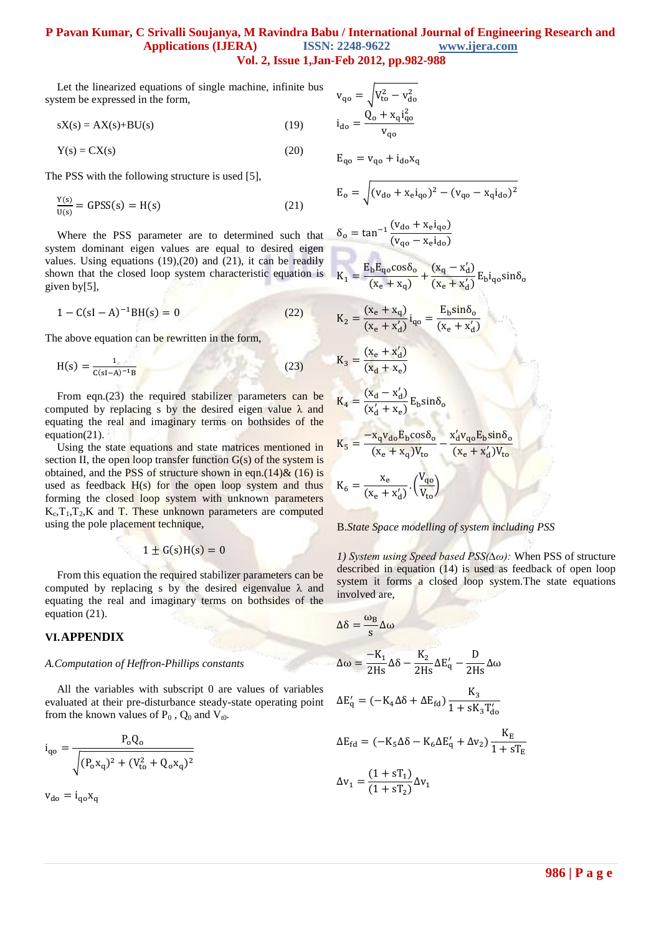Let the linearized equations of single machine, infinite bus system be expressed in the form,

 $sX(s) = AX(s) + BU(s)$  (19)

$$
Y(s) = CX(s)
$$
 (20)

The PSS with the following structure is used [5],

$$
\frac{Y(s)}{U(s)} = GPSS(s) = H(s)
$$
\n(21)

Where the PSS parameter are to determined such that system dominant eigen values are equal to desired eigen values. Using equations  $(19),(20)$  and  $(21)$ , it can be readily shown that the closed loop system characteristic equation is given by[5],

$$
1 - C(sI - A)^{-1}BH(s) = 0
$$
 (22)

The above equation can be rewritten in the form,

$$
H(s) = \frac{1}{c(sI - A)^{-1}B}
$$
 (23)

From eqn.(23) the required stabilizer parameters can be computed by replacing s by the desired eigen value  $\lambda$  and equating the real and imaginary terms on bothsides of the equation(21).

Using the state equations and state matrices mentioned in section II, the open loop transfer function  $G(s)$  of the system is obtained, and the PSS of structure shown in eqn.(14) $\&$  (16) is used as feedback H(s) for the open loop system and thus forming the closed loop system with unknown parameters  $K_c$ ,  $T_1$ ,  $T_2$ ,  $K$  and  $T$ . These unknown parameters are computed using the pole placement technique,

$$
1 \pm G(s)H(s) = 0
$$

From this equation the required stabilizer parameters can be computed by replacing s by the desired eigenvalue  $\lambda$  and equating the real and imaginary terms on bothsides of the equation (21).

#### **VI.APPENDIX**

#### *A.Computation of Heffron-Phillips constants*

All the variables with subscript 0 are values of variables evaluated at their pre-disturbance steady-state operating point from the known values of  $P_0$ ,  $Q_0$  and  $V_{t0}$ .

$$
i_{qo} = \frac{P_o Q_o}{\sqrt{(P_o x_q)^2 + (V_{to}^2 + Q_o x_q)^2}}
$$

 $v_{do} = i_{ao}x_a$ 

$$
v_{q0} = \sqrt{V_{to}^{2} - v_{do}^{2}}
$$
  
\n
$$
i_{do} = \frac{Q_{o} + x_{q}i_{q0}^{2}}{v_{q0}}
$$
  
\n
$$
E_{q0} = v_{q0} + i_{do}x_{q}
$$
  
\n
$$
E_{o} = \sqrt{(v_{do} + x_{e}i_{q0})^{2} - (v_{q0} - x_{q}i_{do})^{2}}
$$
  
\n
$$
\delta_{o} = \tan^{-1}\frac{(v_{do} + x_{e}i_{q0})}{(v_{q0} - x_{e}i_{do})}
$$
  
\n
$$
K_{1} = \frac{E_{b}E_{q0}cos\delta_{o}}{(x_{e} + x_{q})} + \frac{(x_{q} - x'_{d})}{(x_{e} + x'_{d})}E_{b}i_{q0}sin\delta_{o}
$$
  
\n
$$
K_{2} = \frac{(x_{e} + x_{q})}{(x_{e} + x'_{d})}i_{q0} = \frac{E_{b}sin\delta_{o}}{(x_{e} + x'_{d})}
$$
  
\n
$$
K_{3} = \frac{(x_{d} - x'_{d})}{(x_{d} + x_{e})}E_{b}sin\delta_{o}
$$
  
\n
$$
K_{4} = \frac{(x_{d} - x'_{d})}{(x'_{d} + x_{e})}E_{b}sin\delta_{o}
$$
  
\n
$$
K_{5} = \frac{-x_{q}v_{do}E_{b}cos\delta_{o}}{(x_{e} + x_{q})V_{to}} - \frac{x'_{d}v_{q0}E_{b}sin\delta_{o}}{(x_{e} + x'_{d})V_{to}}
$$
  
\n
$$
K_{6} = \frac{x_{e}}{(x_{e} + x'_{d})} \cdot (\frac{V_{q0}}{V_{to}})
$$

B.*State Space modelling of system including PSS*

*1) System using Speed based PSS(∆ω):* When PSS of structure described in equation (14) is used as feedback of open loop system it forms a closed loop system*.*The state equations involved are,

$$
\Delta \delta = \frac{\omega_B}{s} \Delta \omega
$$
  
\n
$$
\Delta \omega = \frac{-K_1}{2Hs} \Delta \delta - \frac{K_2}{2Hs} \Delta E'_q - \frac{D}{2Hs} \Delta \omega
$$
  
\n
$$
\Delta E'_q = (-K_4 \Delta \delta + \Delta E_{fd}) \frac{K_3}{1 + sK_3 T'_{d0}}
$$
  
\n
$$
\Delta E_{fd} = (-K_5 \Delta \delta - K_6 \Delta E'_q + \Delta v_2) \frac{K_E}{1 + sT_E}
$$

$$
\Delta \mathbf{v}_1 = \frac{(1 + 3\mathbf{v}_1)}{(1 + s\mathbf{T}_2)} \Delta \mathbf{v}_1
$$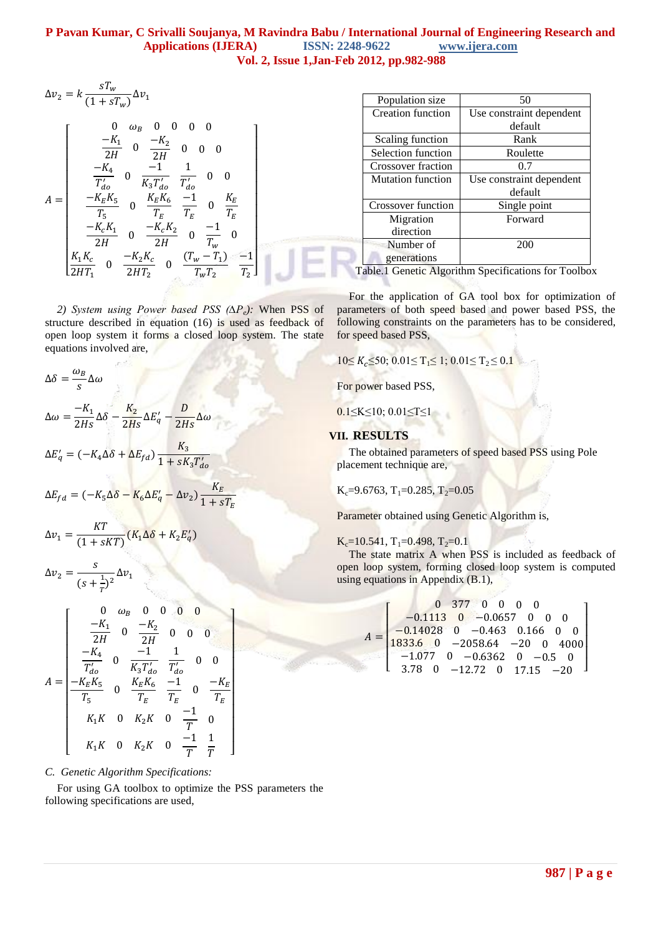$$
\Delta v_2 = k \frac{s T_w}{(1 + s T_w)} \Delta
$$

$$
A = \begin{bmatrix} 0 & \omega_B & 0 & 0 & 0 & 0 \\ \frac{-K_1}{2H} & 0 & \frac{-K_2}{2H} & 0 & 0 & 0 \\ \frac{-K_4}{T_{do}'} & 0 & \frac{-1}{K_3 T_{do}'} & \frac{1}{T_{do}'} & 0 & 0 \\ \frac{-K_E K_5}{T_5} & 0 & \frac{K_E K_6}{T_E} & \frac{-1}{T_E} & 0 & \frac{K_E}{T_E} \\ \frac{-K_c K_1}{2H} & 0 & \frac{-K_c K_2}{2H} & 0 & \frac{-1}{T_w} & 0 \\ \frac{K_1 K_c}{2H T_1} & 0 & \frac{-K_2 K_c}{2H T_2} & 0 & \frac{(T_w - T_1)}{T_w T_2} & \frac{-1}{T_2} \end{bmatrix}
$$

*2) System using Power based PSS (∆Pe):* When PSS of structure described in equation (16) is used as feedback of open loop system it forms a closed loop system. The state equations involved are,

$$
\Delta \delta = \frac{\omega_B}{s} \Delta \omega
$$
  
\n
$$
\Delta \omega = \frac{-K_1}{2Hs} \Delta \delta - \frac{K_2}{2Hs} \Delta E'_q - \frac{D}{2Hs} \Delta \omega
$$
  
\n
$$
\Delta E'_q = (-K_4 \Delta \delta + \Delta E_{fd}) \frac{K_3}{1 + sK_3 T'_{do}}
$$
  
\n
$$
\Delta E_{fd} = (-K_5 \Delta \delta - K_6 \Delta E'_q - \Delta v_2) \frac{K_E}{1 + s'}
$$

$$
\Delta v_1 = \frac{KT}{(1 + sKT)} (K_1 \Delta \delta + K_2 E_q')
$$

$$
\Delta v_2 = \frac{s}{(s + \frac{1}{T})^2} \Delta v_1
$$

 $\lambda$ 

$$
A = \begin{bmatrix} 0 & \omega_B & 0 & 0 & 0 & 0 \\ \frac{-K_1}{2H} & 0 & \frac{-K_2}{2H} & 0 & 0 & 0 \\ \frac{-K_4}{T'_{do}} & 0 & \frac{-1}{K_3 T'_{do}} & \frac{1}{T'_{do}} & 0 & 0 \\ \frac{-K_E K_5}{T_5} & 0 & \frac{K_E K_6}{T_E} & \frac{-1}{T_E} & 0 & \frac{-K_E}{T_E} \\ K_1 K & 0 & K_2 K & 0 & \frac{-1}{T} & 0 \\ K_1 K & 0 & K_2 K & 0 & \frac{-1}{T} & \frac{1}{T} \end{bmatrix}
$$

*C. Genetic Algorithm Specifications:*

For using GA toolbox to optimize the PSS parameters the following specifications are used,

| Population size          | 50                       |  |
|--------------------------|--------------------------|--|
| Creation function        | Use constraint dependent |  |
|                          | default                  |  |
| Scaling function         | Rank                     |  |
| Selection function       | Roulette                 |  |
| Crossover fraction       | 0.7                      |  |
| <b>Mutation function</b> | Use constraint dependent |  |
|                          | default                  |  |
| Crossover function       | Single point             |  |
| Migration                | Forward                  |  |
| direction                |                          |  |
| Number of                | 200                      |  |
| generations              |                          |  |

Table.1 Genetic Algorithm Specifications for Toolbox

For the application of GA tool box for optimization of parameters of both speed based and power based PSS, the following constraints on the parameters has to be considered, for speed based PSS,

 $10\le K_c \le 50$ ;  $0.01 \le T_1 \le 1$ ;  $0.01 \le T_2 \le 0.1$ 

For power based PSS,

0.1≤K≤10; 0.01≤T≤1

## **VII. RESULTS**

 $\overline{A}$ 

The obtained parameters of speed based PSS using Pole placement technique are,

$$
K_c=9.6763, T_1=0.285, T_2=0.05
$$

Parameter obtained using Genetic Algorithm is,

 $K_c=10.541$ ,  $T_1=0.498$ ,  $T_2=0.1$ 

The state matrix A when PSS is included as feedback of open loop system, forming closed loop system is computed using equations in Appendix (B.1),

$$
= \begin{bmatrix} 0 & 377 & 0 & 0 & 0 & 0 \\ -0.1113 & 0 & -0.0657 & 0 & 0 & 0 \\ -0.14028 & 0 & -0.463 & 0.166 & 0 & 0 \\ 1833.6 & 0 & -2058.64 & -20 & 0 & 4000 \\ -1.077 & 0 & -0.6362 & 0 & -0.5 & 0 \\ 3.78 & 0 & -12.72 & 0 & 17.15 & -20 \end{bmatrix}
$$